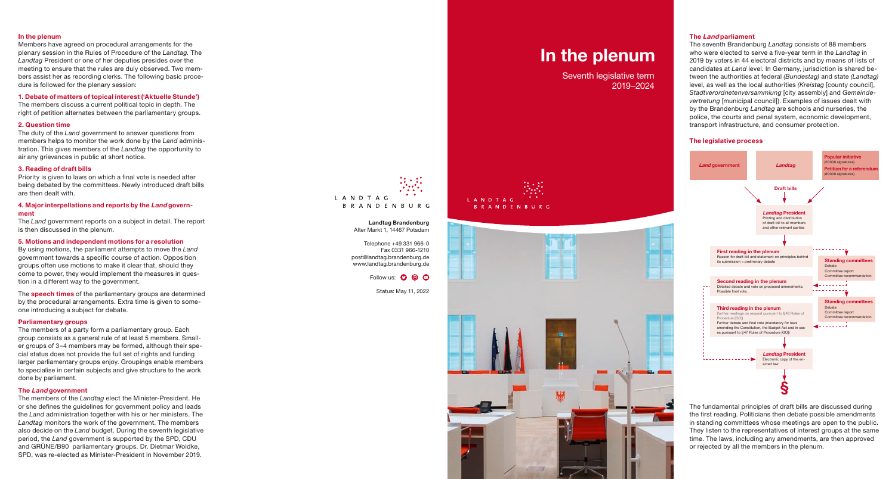## **In the plenum**

Members have agreed on procedural arrangements for the plenary session in the Rules of Procedure of the *Landtag.* The *Landtag* President or one of her deputies presides over the meeting to ensure that the rules are duly observed. Two mem bers assist her as recording clerks. The following basic proce dure is followed for the plenary session:

#### **1. Debate of matters of topical interest ('Aktuelle Stunde')**

The members discuss a current political topic in depth. The right of petition alternates between the parliamentary groups.

# **2. Question time**

The duty of the *Land* government to answer questions from members helps to monitor the work done by the *Land* adminis tration. This gives members of the *Landtag* the opportunity to air any grievances in public at short notice.

### **3. Reading of draft bills**

Priority is given to laws on which a final vote is needed after being debated by the committees. Newly introduced draft bills are then dealt with.

## **4. Major interpellations and reports by the Land govern ment**

The *Land* government reports on a subject in detail. The report is then discussed in the plenum.

# **5. Motions and independent motions for a resolution**

By using motions, the parliament attempts to move the *Land* government towards a specific course of action. Opposition groups often use motions to make it clear that, should they come to power, they would implement the measures in ques tion in a different way to the government.

The **speech times** of the parliamentary groups are determined by the procedural arrangements. Extra time is given to someone introducing a subject for debate.

## **Parliamentary groups**

The members of a party form a parliamentary group. Each group consists as a general rule of at least 5 members. Small er groups of 3–4 members may be formed, although their spe cial status does not provide the full set of rights and funding larger parliamentary groups enjoy. Groupings enable members to specialise in certain subjects and give structure to the work done by parliament.

#### **The Land government**

The members of the *Landtag* elect the Minister-President. He or she defines the guidelines for government policy and leads the *Land* administration together with his or her ministers. The *Landtag* monitors the work of the government. The members also decide on the *Land* budget. During the seventh legislative period, the *Land* government is supported by the SPD, CDU and GRÜNE/B90 parliamentary groups. Dr. Dietmar Woidke, SPD, was re-elected as Minister-President in November 2019.



**Landtag Brandenburg** Alter Markt 1, 14467 Potsdam

Telephone +49 331 966-0 Fax 0331 966-1210 post @landtag.brandenburg.de www.landtag.brandenburg.de

Follow us: 0 <sup>o</sup> O

Status: May 11, 2022

# **In the plenum**

Seventh legislative term 2019–2024





# **The Land parliament**

The seventh Brandenburg *Landtag* consists of 88 members who were elected to serve a five-year term in the *Landtag* in 2019 by voters in 44 electoral districts and by means of lists of candidates at *Land* level. In Germany, jurisdiction is shared be tween the authorities at federal *(Bundestag)* and state *(Landtag)* level, as well as the local authorities *(Kreistag* [county council], *Stadtverordnetenversammlung* [city assembly] and *Gemeinde vertretung* [municipal council]). Examples of issues dealt with by the Brandenburg *Landtag* are schools and nurseries, the police, the courts and penal system, economic development, transport infrastructure, and consumer protection.

#### **The legislative process**



The fundamental principles of draft bills are discussed during the first reading. Politicians then debate possible amendments in standing committees whose meetings are open to the public. They listen to the representatives of interest groups at the same time. The laws, including any amendments, are then approved or rejected by all the members in the plenum.